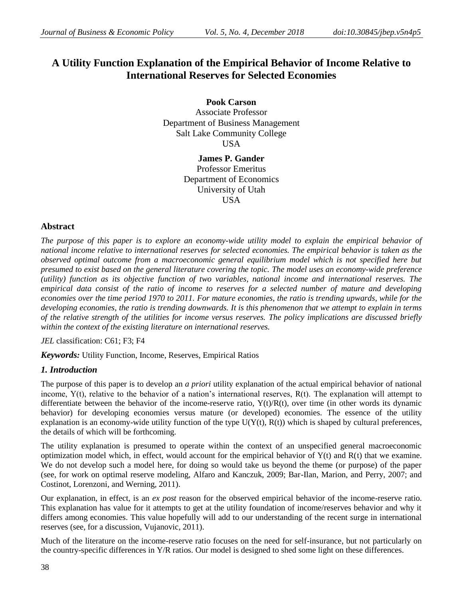## **A Utility Function Explanation of the Empirical Behavior of Income Relative to International Reserves for Selected Economies**

**Pook Carson** Associate Professor Department of Business Management Salt Lake Community College USA

> **James P. Gander** Professor Emeritus Department of Economics University of Utah **USA**

## **Abstract**

*The purpose of this paper is to explore an economy-wide utility model to explain the empirical behavior of national income relative to international reserves for selected economies. The empirical behavior is taken as the observed optimal outcome from a macroeconomic general equilibrium model which is not specified here but presumed to exist based on the general literature covering the topic. The model uses an economy-wide preference (utility) function as its objective function of two variables, national income and international reserves. The empirical data consist of the ratio of income to reserves for a selected number of mature and developing economies over the time period 1970 to 2011. For mature economies, the ratio is trending upwards, while for the developing economies, the ratio is trending downwards. It is this phenomenon that we attempt to explain in terms of the relative strength of the utilities for income versus reserves. The policy implications are discussed briefly within the context of the existing literature on international reserves.*

*JEL* classification: C61; F3; F4

*Keywords:* Utility Function, Income, Reserves, Empirical Ratios

### *1. Introduction*

The purpose of this paper is to develop an *a priori* utility explanation of the actual empirical behavior of national income,  $Y(t)$ , relative to the behavior of a nation's international reserves,  $R(t)$ . The explanation will attempt to differentiate between the behavior of the income-reserve ratio,  $Y(t)/R(t)$ , over time (in other words its dynamic behavior) for developing economies versus mature (or developed) economies. The essence of the utility explanation is an economy-wide utility function of the type  $U(Y(t), R(t))$  which is shaped by cultural preferences, the details of which will be forthcoming.

The utility explanation is presumed to operate within the context of an unspecified general macroeconomic optimization model which, in effect, would account for the empirical behavior of  $Y(t)$  and  $R(t)$  that we examine. We do not develop such a model here, for doing so would take us beyond the theme (or purpose) of the paper (see, for work on optimal reserve modeling, Alfaro and Kanczuk, 2009; Bar-Ilan, Marion, and Perry, 2007; and Costinot, Lorenzoni, and Werning, 2011).

Our explanation, in effect, is an *ex post* reason for the observed empirical behavior of the income-reserve ratio. This explanation has value for it attempts to get at the utility foundation of income/reserves behavior and why it differs among economies. This value hopefully will add to our understanding of the recent surge in international reserves (see, for a discussion, Vujanovic, 2011).

Much of the literature on the income-reserve ratio focuses on the need for self-insurance, but not particularly on the country-specific differences in Y/R ratios. Our model is designed to shed some light on these differences.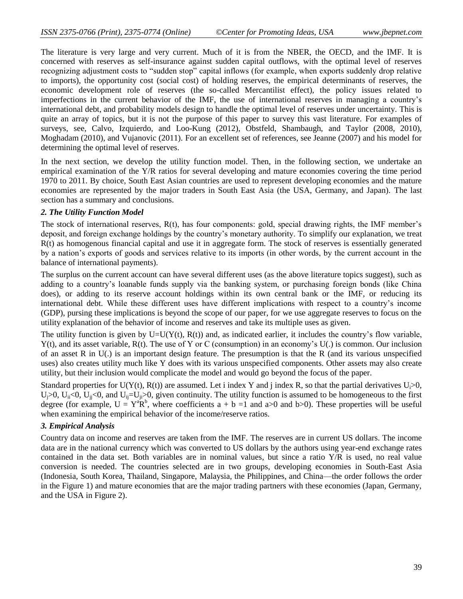The literature is very large and very current. Much of it is from the NBER, the OECD, and the IMF. It is concerned with reserves as self-insurance against sudden capital outflows, with the optimal level of reserves recognizing adjustment costs to "sudden stop" capital inflows (for example, when exports suddenly drop relative to imports), the opportunity cost (social cost) of holding reserves, the empirical determinants of reserves, the economic development role of reserves (the so-called Mercantilist effect), the policy issues related to imperfections in the current behavior of the IMF, the use of international reserves in managing a country's international debt, and probability models design to handle the optimal level of reserves under uncertainty. This is quite an array of topics, but it is not the purpose of this paper to survey this vast literature. For examples of surveys, see, Calvo, Izquierdo, and Loo-Kung (2012), Obstfeld, Shambaugh, and Taylor (2008, 2010), Moghadam (2010), and Vujanovic (2011). For an excellent set of references, see Jeanne (2007) and his model for determining the optimal level of reserves.

In the next section, we develop the utility function model. Then, in the following section, we undertake an empirical examination of the Y/R ratios for several developing and mature economies covering the time period 1970 to 2011. By choice, South East Asian countries are used to represent developing economies and the mature economies are represented by the major traders in South East Asia (the USA, Germany, and Japan). The last section has a summary and conclusions.

#### *2. The Utility Function Model*

The stock of international reserves, R(t), has four components: gold, special drawing rights, the IMF member's deposit, and foreign exchange holdings by the country's monetary authority. To simplify our explanation, we treat R(t) as homogenous financial capital and use it in aggregate form. The stock of reserves is essentially generated by a nation's exports of goods and services relative to its imports (in other words, by the current account in the balance of international payments).

The surplus on the current account can have several different uses (as the above literature topics suggest), such as adding to a country's loanable funds supply via the banking system, or purchasing foreign bonds (like China does), or adding to its reserve account holdings within its own central bank or the IMF, or reducing its international debt. While these different uses have different implications with respect to a country's income (GDP), pursing these implications is beyond the scope of our paper, for we use aggregate reserves to focus on the utility explanation of the behavior of income and reserves and take its multiple uses as given.

The utility function is given by  $U=U(Y(t), R(t))$  and, as indicated earlier, it includes the country's flow variable, Y(t), and its asset variable, R(t). The use of Y or C (consumption) in an economy's U(.) is common. Our inclusion of an asset R in  $U(.)$  is an important design feature. The presumption is that the R (and its various unspecified uses) also creates utility much like Y does with its various unspecified components. Other assets may also create utility, but their inclusion would complicate the model and would go beyond the focus of the paper.

Standard properties for U(Y(t), R(t)) are assumed. Let i index Y and j index R, so that the partial derivatives  $U_i>0$ ,  $U_i>0$ ,  $U_i<0$ ,  $U_i<0$ , and  $U_i=U_i>0$ , given continuity. The utility function is assumed to be homogeneous to the first degree (for example,  $U = Y^a R^b$ , where coefficients  $a + b =1$  and  $a > 0$  and  $b > 0$ ). These properties will be useful when examining the empirical behavior of the income/reserve ratios.

#### *3. Empirical Analysis*

Country data on income and reserves are taken from the IMF. The reserves are in current US dollars. The income data are in the national currency which was converted to US dollars by the authors using year-end exchange rates contained in the data set. Both variables are in nominal values, but since a ratio Y/R is used, no real value conversion is needed. The countries selected are in two groups, developing economies in South-East Asia (Indonesia, South Korea, Thailand, Singapore, Malaysia, the Philippines, and China—the order follows the order in the Figure 1) and mature economies that are the major trading partners with these economies (Japan, Germany, and the USA in Figure 2).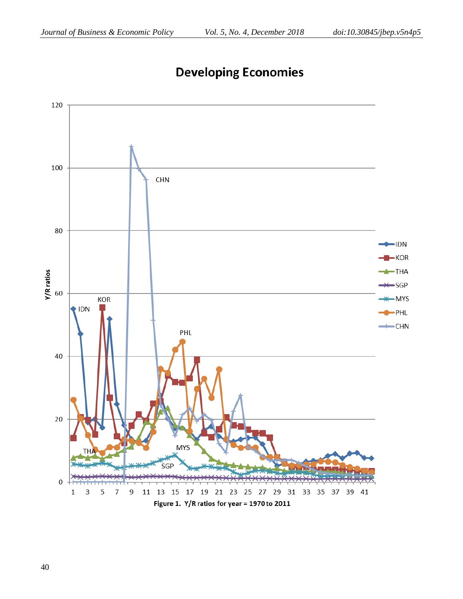

# **Developing Economies**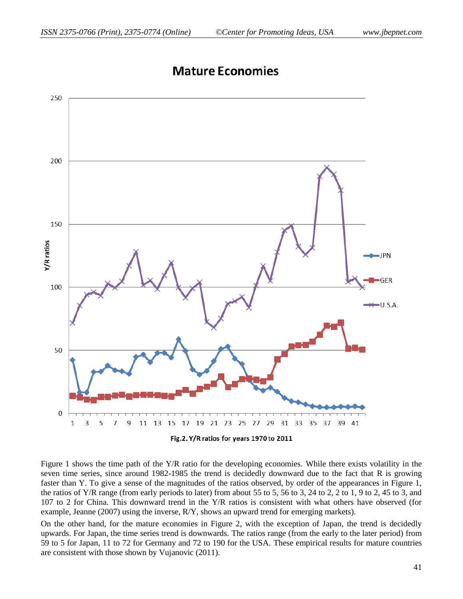

# **Mature Economies**

Figure 1 shows the time path of the Y/R ratio for the developing economies. While there exists volatility in the seven time series, since around 1982-1985 the trend is decidedly downward due to the fact that R is growing faster than Y. To give a sense of the magnitudes of the ratios observed, by order of the appearances in Figure 1, the ratios of Y/R range (from early periods to later) from about 55 to 5, 56 to 3, 24 to 2, 2 to 1, 9 to 2, 45 to 3, and 107 to 2 for China. This downward trend in the Y/R ratios is consistent with what others have observed (for example, Jeanne (2007) using the inverse, R/Y, shows an upward trend for emerging markets).

On the other hand, for the mature economies in Figure 2, with the exception of Japan, the trend is decidedly upwards. For Japan, the time series trend is downwards. The ratios range (from the early to the later period) from 59 to 5 for Japan, 11 to 72 for Germany and 72 to 190 for the USA. These empirical results for mature countries are consistent with those shown by Vujanovic (2011).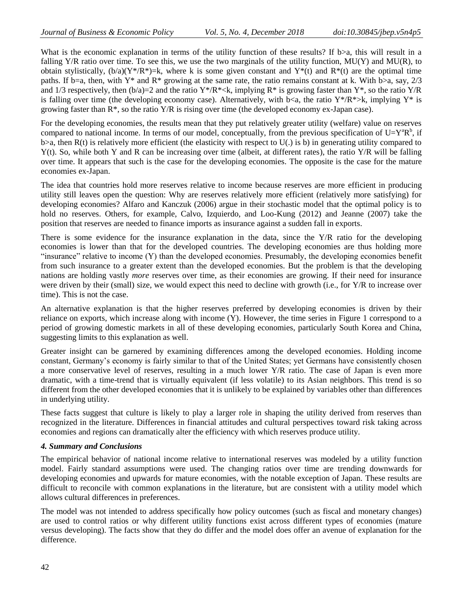What is the economic explanation in terms of the utility function of these results? If b>a, this will result in a falling  $Y/R$  ratio over time. To see this, we use the two marginals of the utility function,  $MU(Y)$  and  $MU(R)$ , to obtain stylistically,  $(b/a)(Y^*/R^*)=k$ , where k is some given constant and  $Y^*(t)$  and  $R^*(t)$  are the optimal time paths. If b=a, then, with Y\* and R\* growing at the same rate, the ratio remains constant at k. With b>a, say,  $2/3$ and 1/3 respectively, then  $(b/a)=2$  and the ratio Y\*/R\*<k, implying R\* is growing faster than Y\*, so the ratio Y/R is falling over time (the developing economy case). Alternatively, with b<a, the ratio Y\*/R\*>k, implying Y\* is growing faster than  $R^*$ , so the ratio  $Y/R$  is rising over time (the developed economy ex-Japan case).

For the developing economies, the results mean that they put relatively greater utility (welfare) value on reserves compared to national income. In terms of our model, conceptually, from the previous specification of  $U=Y^aR^b$ , if  $b>a$ , then R(t) is relatively more efficient (the elasticity with respect to U(.) is b) in generating utility compared to  $Y(t)$ . So, while both Y and R can be increasing over time (albeit, at different rates), the ratio  $Y/R$  will be falling over time. It appears that such is the case for the developing economies. The opposite is the case for the mature economies ex-Japan.

The idea that countries hold more reserves relative to income because reserves are more efficient in producing utility still leaves open the question: Why are reserves relatively more efficient (relatively more satisfying) for developing economies? Alfaro and Kanczuk (2006) argue in their stochastic model that the optimal policy is to hold no reserves. Others, for example, Calvo, Izquierdo, and Loo-Kung (2012) and Jeanne (2007) take the position that reserves are needed to finance imports as insurance against a sudden fall in exports.

There is some evidence for the insurance explanation in the data, since the Y/R ratio for the developing economies is lower than that for the developed countries. The developing economies are thus holding more "insurance" relative to income (Y) than the developed economies. Presumably, the developing economies benefit from such insurance to a greater extent than the developed economies. But the problem is that the developing nations are holding vastly *more* reserves over time, as their economies are growing. If their need for insurance were driven by their (small) size, we would expect this need to decline with growth (i.e., for Y/R to increase over time). This is not the case.

An alternative explanation is that the higher reserves preferred by developing economies is driven by their reliance on exports, which increase along with income (Y). However, the time series in Figure 1 correspond to a period of growing domestic markets in all of these developing economies, particularly South Korea and China, suggesting limits to this explanation as well.

Greater insight can be garnered by examining differences among the developed economies. Holding income constant, Germany's economy is fairly similar to that of the United States; yet Germans have consistently chosen a more conservative level of reserves, resulting in a much lower Y/R ratio. The case of Japan is even more dramatic, with a time-trend that is virtually equivalent (if less volatile) to its Asian neighbors. This trend is so different from the other developed economies that it is unlikely to be explained by variables other than differences in underlying utility.

These facts suggest that culture is likely to play a larger role in shaping the utility derived from reserves than recognized in the literature. Differences in financial attitudes and cultural perspectives toward risk taking across economies and regions can dramatically alter the efficiency with which reserves produce utility.

#### *4. Summary and Conclusions*

The empirical behavior of national income relative to international reserves was modeled by a utility function model. Fairly standard assumptions were used. The changing ratios over time are trending downwards for developing economies and upwards for mature economies, with the notable exception of Japan. These results are difficult to reconcile with common explanations in the literature, but are consistent with a utility model which allows cultural differences in preferences.

The model was not intended to address specifically how policy outcomes (such as fiscal and monetary changes) are used to control ratios or why different utility functions exist across different types of economies (mature versus developing). The facts show that they do differ and the model does offer an avenue of explanation for the difference.